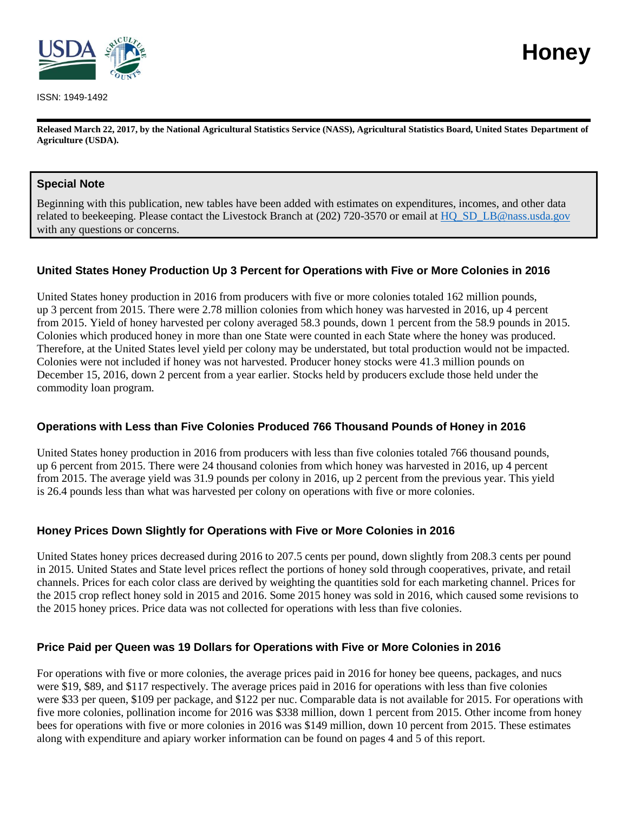

ISSN: 1949-1492

**Released March 22, 2017, by the National Agricultural Statistics Service (NASS), Agricultural Statistics Board, United States Department of Agriculture (USDA).**

### **Special Note**

Beginning with this publication, new tables have been added with estimates on expenditures, incomes, and other data related to beekeeping. Please contact the Livestock Branch at (202) 720-3570 or email a[t HQ\\_SD\\_LB@nass.usda.gov](mailto:HQ_SD_LB@nass.usda.gov) with any questions or concerns.

### **United States Honey Production Up 3 Percent for Operations with Five or More Colonies in 2016**

United States honey production in 2016 from producers with five or more colonies totaled 162 million pounds, up 3 percent from 2015. There were 2.78 million colonies from which honey was harvested in 2016, up 4 percent from 2015. Yield of honey harvested per colony averaged 58.3 pounds, down 1 percent from the 58.9 pounds in 2015. Colonies which produced honey in more than one State were counted in each State where the honey was produced. Therefore, at the United States level yield per colony may be understated, but total production would not be impacted. Colonies were not included if honey was not harvested. Producer honey stocks were 41.3 million pounds on December 15, 2016, down 2 percent from a year earlier. Stocks held by producers exclude those held under the commodity loan program.

### **Operations with Less than Five Colonies Produced 766 Thousand Pounds of Honey in 2016**

United States honey production in 2016 from producers with less than five colonies totaled 766 thousand pounds, up 6 percent from 2015. There were 24 thousand colonies from which honey was harvested in 2016, up 4 percent from 2015. The average yield was 31.9 pounds per colony in 2016, up 2 percent from the previous year. This yield is 26.4 pounds less than what was harvested per colony on operations with five or more colonies.

### **Honey Prices Down Slightly for Operations with Five or More Colonies in 2016**

United States honey prices decreased during 2016 to 207.5 cents per pound, down slightly from 208.3 cents per pound in 2015. United States and State level prices reflect the portions of honey sold through cooperatives, private, and retail channels. Prices for each color class are derived by weighting the quantities sold for each marketing channel. Prices for the 2015 crop reflect honey sold in 2015 and 2016. Some 2015 honey was sold in 2016, which caused some revisions to the 2015 honey prices. Price data was not collected for operations with less than five colonies.

### **Price Paid per Queen was 19 Dollars for Operations with Five or More Colonies in 2016**

For operations with five or more colonies, the average prices paid in 2016 for honey bee queens, packages, and nucs were \$19, \$89, and \$117 respectively. The average prices paid in 2016 for operations with less than five colonies were \$33 per queen, \$109 per package, and \$122 per nuc. Comparable data is not available for 2015. For operations with five more colonies, pollination income for 2016 was \$338 million, down 1 percent from 2015. Other income from honey bees for operations with five or more colonies in 2016 was \$149 million, down 10 percent from 2015. These estimates along with expenditure and apiary worker information can be found on pages 4 and 5 of this report.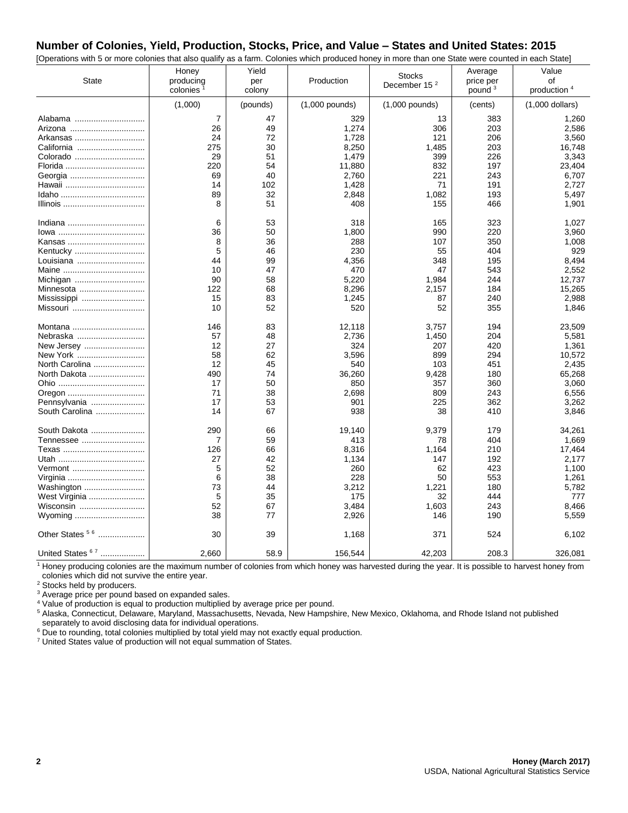### **Number of Colonies, Yield, Production, Stocks, Price, and Value – States and United States: 2015**

| [Operations with 5 or more colonies that also qualify as a farm. Colonies which produced honey in more than one State were counted in each State] |                       |          |                  |                          |           |                         |
|---------------------------------------------------------------------------------------------------------------------------------------------------|-----------------------|----------|------------------|--------------------------|-----------|-------------------------|
|                                                                                                                                                   | Honey                 | Yield    |                  | <b>Stocks</b>            | Average   | Value                   |
| <b>State</b>                                                                                                                                      | producing             | per      | Production       | December 15 <sup>2</sup> | price per | οf                      |
|                                                                                                                                                   | colonies <sup>1</sup> | colony   |                  |                          | pound $3$ | production <sup>4</sup> |
|                                                                                                                                                   | (1,000)               | (pounds) | $(1,000$ pounds) | $(1,000$ pounds)         | (cents)   | $(1,000$ dollars)       |
| Alabama                                                                                                                                           | 7                     | 47       | 329              | 13                       | 383       | 1,260                   |
| Arizona                                                                                                                                           | 26                    | 49       | 1,274            | 306                      | 203       | 2,586                   |
| Arkansas                                                                                                                                          | 24                    | 72       | 1,728            | 121                      | 206       | 3,560                   |
| California                                                                                                                                        | 275                   | 30       | 8,250            | 1,485                    | 203       | 16,748                  |
| Colorado                                                                                                                                          | 29                    | 51       | 1,479            | 399                      | 226       | 3,343                   |
| Florida                                                                                                                                           | 220                   | 54       | 11,880           | 832                      | 197       | 23,404                  |
|                                                                                                                                                   | 69                    | 40       | 2,760            | 221                      | 243       | 6,707                   |
| Hawaii                                                                                                                                            | 14                    | 102      | 1,428            | 71                       | 191       | 2,727                   |
|                                                                                                                                                   | 89                    | 32       | 2,848            | 1,082                    | 193       | 5,497                   |
|                                                                                                                                                   | 8                     | 51       | 408              | 155                      | 466       | 1,901                   |
|                                                                                                                                                   |                       |          |                  |                          |           |                         |
|                                                                                                                                                   | 6                     | 53       | 318              | 165                      | 323       | 1,027                   |
|                                                                                                                                                   | 36                    | 50       | 1,800            | 990                      | 220       | 3,960                   |
|                                                                                                                                                   | 8                     | 36       | 288              | 107                      | 350       | 1,008                   |
| Kentucky                                                                                                                                          | 5                     | 46       | 230              | 55                       | 404       | 929                     |
| Louisiana                                                                                                                                         | 44                    | 99       | 4,356            | 348                      | 195       | 8,494                   |
|                                                                                                                                                   | 10                    | 47       | 470              | 47                       | 543       | 2,552                   |
| Michigan                                                                                                                                          | 90                    | 58       | 5,220            | 1,984                    | 244       | 12,737                  |
| Minnesota                                                                                                                                         | 122                   | 68       | 8,296            | 2,157                    | 184       | 15,265                  |
| Mississippi                                                                                                                                       | 15                    | 83       | 1,245            | 87                       | 240       | 2,988                   |
| Missouri                                                                                                                                          | 10                    | 52       | 520              | 52                       | 355       | 1,846                   |
|                                                                                                                                                   | 146                   | 83       | 12,118           | 3,757                    | 194       | 23,509                  |
| Montana                                                                                                                                           |                       | 48       |                  | 1,450                    | 204       |                         |
| Nebraska                                                                                                                                          | 57                    |          | 2,736            |                          |           | 5,581                   |
| New Jersey                                                                                                                                        | 12                    | 27       | 324              | 207                      | 420       | 1,361                   |
| New York                                                                                                                                          | 58                    | 62       | 3,596            | 899                      | 294       | 10,572                  |
| North Carolina                                                                                                                                    | 12                    | 45       | 540              | 103                      | 451       | 2,435                   |
| North Dakota                                                                                                                                      | 490                   | 74       | 36,260           | 9,428                    | 180       | 65,268                  |
|                                                                                                                                                   | 17                    | 50       | 850              | 357                      | 360       | 3,060                   |
| Oregon                                                                                                                                            | 71                    | 38       | 2,698            | 809                      | 243       | 6,556                   |
| Pennsylvania                                                                                                                                      | 17                    | 53       | 901              | 225                      | 362       | 3,262                   |
| South Carolina                                                                                                                                    | 14                    | 67       | 938              | 38                       | 410       | 3,846                   |
| South Dakota                                                                                                                                      | 290                   | 66       | 19,140           | 9,379                    | 179       | 34,261                  |
| Tennessee                                                                                                                                         | 7                     | 59       | 413              | 78                       | 404       | 1,669                   |
|                                                                                                                                                   | 126                   | 66       | 8,316            | 1,164                    | 210       | 17,464                  |
|                                                                                                                                                   | 27                    | 42       | 1,134            | 147                      | 192       | 2,177                   |
| Vermont                                                                                                                                           | 5                     | 52       | 260              | 62                       | 423       | 1,100                   |
| Virginia                                                                                                                                          | 6                     | 38       | 228              | 50                       | 553       | 1,261                   |
| Washington                                                                                                                                        | 73                    | 44       | 3,212            | 1,221                    | 180       | 5,782                   |
| West Virginia                                                                                                                                     | 5                     | 35       | 175              | 32                       | 444       | 777                     |
| Wisconsin                                                                                                                                         | 52                    | 67       | 3,484            | 1,603                    | 243       | 8,466                   |
| Wyoming                                                                                                                                           | 38                    | 77       | 2,926            | 146                      | 190       | 5,559                   |
|                                                                                                                                                   |                       |          |                  |                          |           |                         |
| Other States <sup>56</sup>                                                                                                                        | 30                    | 39       | 1,168            | 371                      | 524       | 6,102                   |
| United States 67                                                                                                                                  | 2,660                 | 58.9     | 156,544          | 42,203                   | 208.3     | 326,081                 |

<sup>1</sup> Honey producing colonies are the maximum number of colonies from which honey was harvested during the year. It is possible to harvest honey from colonies which did not survive the entire year.

<sup>2</sup> Stocks held by producers.

<sup>3</sup> Average price per pound based on expanded sales.

<sup>4</sup> Value of production is equal to production multiplied by average price per pound.

<sup>5</sup> Alaska, Connecticut, Delaware, Maryland, Massachusetts, Nevada, New Hampshire, New Mexico, Oklahoma, and Rhode Island not published separately to avoid disclosing data for individual operations.

<sup>6</sup> Due to rounding, total colonies multiplied by total yield may not exactly equal production.

<sup>7</sup> United States value of production will not equal summation of States.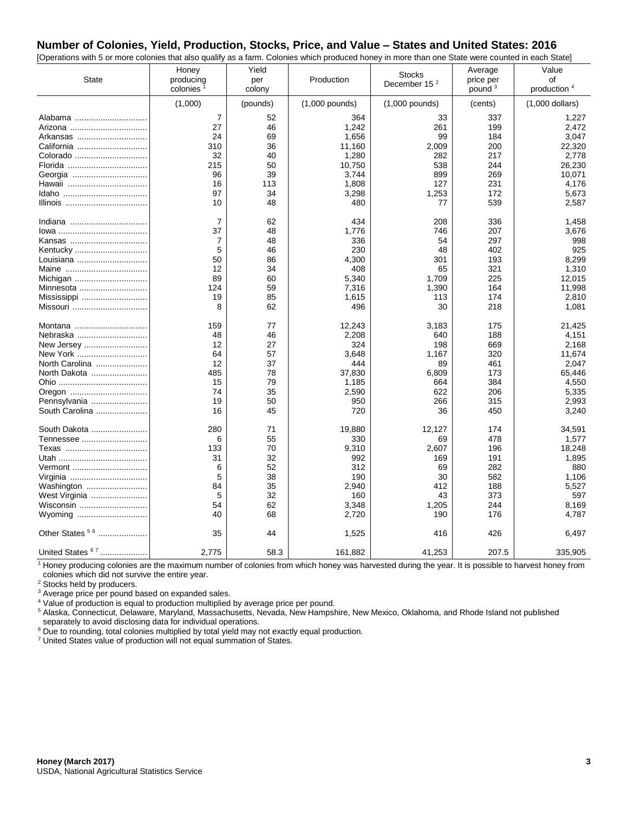#### **Number of Colonies, Yield, Production, Stocks, Price, and Value – States and United States: 2016** [Operations with 5 or more colonies that also qualify as a farm. Colonies which produced honey in more than one State were counted in each State]

| Operations with 5 or more colonies that also quality as a family Colonies which produced honey in more than one clate were counted in each clate)<br><b>State</b> | Honey<br>producing<br>colonies <sup>2</sup> | Yield<br>per<br>colony | Production       | <b>Stocks</b><br>December 15 <sup>2</sup> | Average<br>price per<br>pound <sup>3</sup> | Value<br>οf<br>production 4 |
|-------------------------------------------------------------------------------------------------------------------------------------------------------------------|---------------------------------------------|------------------------|------------------|-------------------------------------------|--------------------------------------------|-----------------------------|
|                                                                                                                                                                   | (1,000)                                     | (pounds)               | $(1,000$ pounds) | $(1,000$ pounds)                          | (cents)                                    | $(1,000$ dollars)           |
| Alabama                                                                                                                                                           | $\overline{7}$                              | 52                     | 364              | 33                                        | 337                                        | 1,227                       |
| Arizona                                                                                                                                                           | 27                                          | 46                     | 1,242            | 261                                       | 199                                        | 2,472                       |
| Arkansas                                                                                                                                                          | 24                                          | 69                     | 1,656            | 99                                        | 184                                        | 3,047                       |
| California                                                                                                                                                        | 310                                         | 36                     | 11,160           | 2,009                                     | 200                                        | 22,320                      |
| Colorado                                                                                                                                                          | 32                                          | 40                     | 1,280            | 282                                       | 217                                        | 2,778                       |
| Florida                                                                                                                                                           | 215                                         | 50                     | 10,750           | 538                                       | 244                                        | 26,230                      |
|                                                                                                                                                                   | 96                                          | 39                     | 3,744            | 899                                       | 269                                        | 10,071                      |
|                                                                                                                                                                   | 16                                          | 113                    | 1,808            | 127                                       | 231                                        | 4,176                       |
|                                                                                                                                                                   | 97                                          | 34                     | 3,298            | 1,253                                     | 172                                        | 5,673                       |
|                                                                                                                                                                   | 10                                          | 48                     | 480              | 77                                        | 539                                        | 2,587                       |
|                                                                                                                                                                   |                                             |                        |                  |                                           |                                            |                             |
|                                                                                                                                                                   | $\overline{7}$                              | 62                     | 434              | 208                                       | 336                                        | 1,458                       |
|                                                                                                                                                                   | 37                                          | 48                     | 1,776            | 746                                       | 207                                        | 3,676                       |
|                                                                                                                                                                   | 7                                           | 48                     | 336              | 54                                        | 297                                        | 998                         |
| Kentucky                                                                                                                                                          | 5                                           | 46                     | 230              | 48                                        | 402                                        | 925                         |
| Louisiana                                                                                                                                                         | 50                                          | 86                     | 4,300            | 301                                       | 193                                        | 8,299                       |
|                                                                                                                                                                   | 12                                          | 34                     | 408              | 65                                        | 321                                        | 1,310                       |
| Michigan                                                                                                                                                          | 89                                          | 60                     | 5,340            | 1,709                                     | 225                                        | 12.015                      |
| Minnesota                                                                                                                                                         | 124                                         | 59                     | 7,316            | 1,390                                     | 164                                        | 11,998                      |
| Mississippi                                                                                                                                                       | 19                                          | 85                     | 1,615            | 113                                       | 174                                        | 2,810                       |
| Missouri                                                                                                                                                          | 8                                           | 62                     | 496              | 30                                        | 218                                        | 1,081                       |
| Montana                                                                                                                                                           | 159                                         | 77                     | 12,243           | 3,183                                     | 175                                        | 21,425                      |
| Nebraska                                                                                                                                                          | 48                                          | 46                     | 2,208            | 640                                       | 188                                        | 4,151                       |
| New Jersey                                                                                                                                                        | 12                                          | 27                     | 324              | 198                                       | 669                                        | 2,168                       |
| New York                                                                                                                                                          | 64                                          | 57                     | 3,648            | 1,167                                     | 320                                        | 11,674                      |
| North Carolina                                                                                                                                                    | 12                                          | 37                     | 444              | 89                                        | 461                                        | 2,047                       |
| North Dakota                                                                                                                                                      | 485                                         | 78                     | 37,830           | 6,809                                     | 173                                        | 65,446                      |
|                                                                                                                                                                   | 15                                          | 79                     | 1,185            | 664                                       | 384                                        | 4,550                       |
| Oregon                                                                                                                                                            | 74                                          | 35                     | 2,590            | 622                                       | 206                                        | 5,335                       |
| Pennsylvania                                                                                                                                                      | 19                                          | 50                     | 950              | 266                                       | 315                                        | 2,993                       |
| South Carolina                                                                                                                                                    | 16                                          | 45                     | 720              | 36                                        | 450                                        | 3,240                       |
| South Dakota                                                                                                                                                      | 280                                         | 71                     | 19,880           | 12,127                                    | 174                                        | 34,591                      |
| Tennessee                                                                                                                                                         | 6                                           | 55                     | 330              | 69                                        | 478                                        | 1,577                       |
|                                                                                                                                                                   | 133                                         | 70                     | 9,310            | 2,607                                     | 196                                        | 18,248                      |
|                                                                                                                                                                   | 31                                          | 32                     | 992              | 169                                       | 191                                        | 1,895                       |
| Vermont                                                                                                                                                           | 6                                           | 52                     | 312              | 69                                        | 282                                        | 880                         |
| Virginia                                                                                                                                                          | 5                                           | 38                     | 190              | 30                                        | 582                                        | 1,106                       |
| Washington                                                                                                                                                        | 84                                          | 35                     | 2,940            | 412                                       | 188                                        | 5,527                       |
| West Virginia                                                                                                                                                     | 5                                           | 32                     | 160              | 43                                        | 373                                        | 597                         |
| Wisconsin                                                                                                                                                         | 54                                          | 62                     | 3,348            | 1,205                                     | 244                                        | 8,169                       |
| Wyoming                                                                                                                                                           | 40                                          | 68                     | 2,720            | 190                                       | 176                                        | 4,787                       |
| Other States <sup>56</sup>                                                                                                                                        | 35                                          | 44                     | 1,525            | 416                                       | 426                                        | 6,497                       |
| United States 67                                                                                                                                                  | 2,775                                       | 58.3                   | 161,882          | 41,253                                    | 207.5                                      | 335,905                     |

 $1$  Honey producing colonies are the maximum number of colonies from which honey was harvested during the year. It is possible to harvest honey from colonies which did not survive the entire year.

<sup>2</sup> Stocks held by producers.

<sup>3</sup> Average price per pound based on expanded sales.

<sup>4</sup> Value of production is equal to production multiplied by average price per pound.

<sup>5</sup> Alaska, Connecticut, Delaware, Maryland, Massachusetts, Nevada, New Hampshire, New Mexico, Oklahoma, and Rhode Island not published separately to avoid disclosing data for individual operations.

<sup>6</sup> Due to rounding, total colonies multiplied by total yield may not exactly equal production.

<sup>7</sup> United States value of production will not equal summation of States.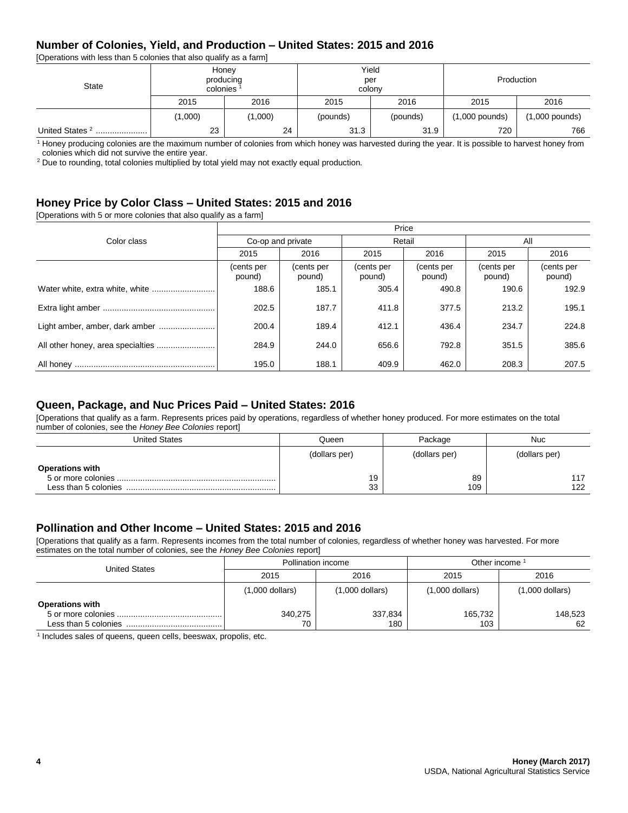### **Number of Colonies, Yield, and Production – United States: 2015 and 2016**

[Operations with less than 5 colonies that also qualify as a farm]

| State                          | Honey<br>producing<br>colonies <sup>1</sup> |         | Yield<br>per<br>colony |          | Production       |                  |
|--------------------------------|---------------------------------------------|---------|------------------------|----------|------------------|------------------|
|                                | 2015                                        | 2016    | 2015                   | 2016     | 2015             | 2016             |
|                                | (1,000)                                     | (1,000) | (pounds)               | (pounds) | $(1,000$ pounds) | $(1,000$ pounds) |
| United States <sup>2</sup><br> | 23                                          | 24      | 31.3                   | 31.9     | 720              | 766              |

<sup>1</sup> Honey producing colonies are the maximum number of colonies from which honey was harvested during the year. It is possible to harvest honey from colonies which did not survive the entire year.

<sup>2</sup> Due to rounding, total colonies multiplied by total yield may not exactly equal production.

### **Honey Price by Color Class – United States: 2015 and 2016**

[Operations with 5 or more colonies that also qualify as a farm]

|                                | Price                |                      |                      |                      |                      |                      |  |  |
|--------------------------------|----------------------|----------------------|----------------------|----------------------|----------------------|----------------------|--|--|
| Color class                    | Co-op and private    |                      | Retail               |                      | All                  |                      |  |  |
|                                | 2015                 | 2016                 | 2015                 | 2016                 | 2015                 | 2016                 |  |  |
|                                | (cents per<br>pound) | (cents per<br>pound) | (cents per<br>pound) | (cents per<br>pound) | (cents per<br>pound) | (cents per<br>pound) |  |  |
|                                | 188.6                | 185.1                | 305.4                | 490.8                | 190.6                | 192.9                |  |  |
|                                | 202.5                | 187.7                | 411.8                | 377.5                | 213.2                | 195.1                |  |  |
| Light amber, amber, dark amber | 200.4                | 189.4                | 412.1                | 436.4                | 234.7                | 224.8                |  |  |
|                                | 284.9                | 244.0                | 656.6                | 792.8                | 351.5                | 385.6                |  |  |
|                                | 195.0                | 188.1                | 409.9                | 462.0                | 208.3                | 207.5                |  |  |

#### **Queen, Package, and Nuc Prices Paid – United States: 2016**

[Operations that qualify as a farm. Represents prices paid by operations, regardless of whether honey produced. For more estimates on the total number of colonies, see the *Honey Bee Colonies* report]

| United States          | Queen         | Package       | <b>Nuc</b>    |
|------------------------|---------------|---------------|---------------|
|                        | (dollars per) | (dollars per) | (dollars per) |
| <b>Operations with</b> | 19<br>33      | 89<br>109     | 122           |

#### **Pollination and Other Income – United States: 2015 and 2016**

[Operations that qualify as a farm. Represents incomes from the total number of colonies, regardless of whether honey was harvested. For more estimates on the total number of colonies, see the *Honey Bee Colonies* report]

| <b>United States</b>                           |                   | Pollination income | Other income      |                   |
|------------------------------------------------|-------------------|--------------------|-------------------|-------------------|
|                                                | 2015              | 2016               | 2015              | 2016              |
|                                                | $(1,000$ dollars) | (1,000 dollars)    | $(1,000$ dollars) | $(1,000$ dollars) |
| <b>Operations with</b><br>Less than 5 colonies | 340,275<br>70     | 337,834<br>180     | 165,732<br>103    | 148,523<br>62     |

<sup>1</sup> Includes sales of queens, queen cells, beeswax, propolis, etc.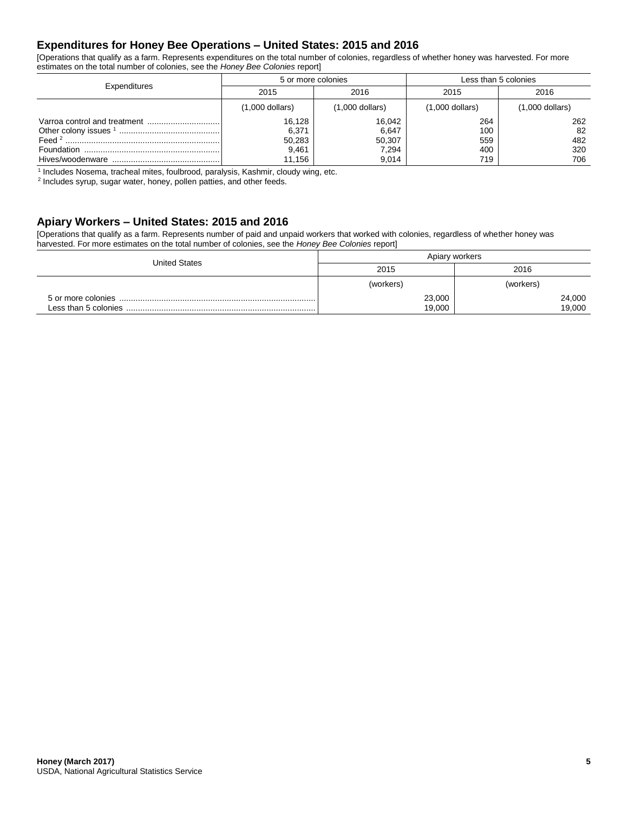### **Expenditures for Honey Bee Operations – United States: 2015 and 2016**

[Operations that qualify as a farm. Represents expenditures on the total number of colonies, regardless of whether honey was harvested. For more estimates on the total number of colonies, see the *Honey Bee Colonies* report]

| Expenditures | 5 or more colonies                           |                                             | Less than 5 colonies            |                                |  |
|--------------|----------------------------------------------|---------------------------------------------|---------------------------------|--------------------------------|--|
|              | 2016<br>2015                                 |                                             | 2015                            | 2016                           |  |
|              | $(1,000$ dollars)                            | $(1,000$ dollars)                           | $(1,000$ dollars)               | $(1,000$ dollars)              |  |
|              | 16.128<br>6,371<br>50,283<br>9,461<br>11.156 | 16,042<br>6,647<br>50,307<br>7,294<br>9,014 | 264<br>100<br>559<br>400<br>719 | 262<br>82<br>482<br>320<br>706 |  |

<sup>1</sup> Includes Nosema, tracheal mites, foulbrood, paralysis, Kashmir, cloudy wing, etc.

<sup>2</sup> Includes syrup, sugar water, honey, pollen patties, and other feeds.

### **Apiary Workers – United States: 2015 and 2016**

[Operations that qualify as a farm. Represents number of paid and unpaid workers that worked with colonies, regardless of whether honey was harvested. For more estimates on the total number of colonies, see the *Honey Bee Colonies* report]

| <b>United States</b> | Apiary workers |           |  |  |
|----------------------|----------------|-----------|--|--|
|                      | 2015           | 2016      |  |  |
|                      | (workers)      | (workers) |  |  |
|                      | 23,000         | 24,000    |  |  |
|                      | 19,000         | 19,000    |  |  |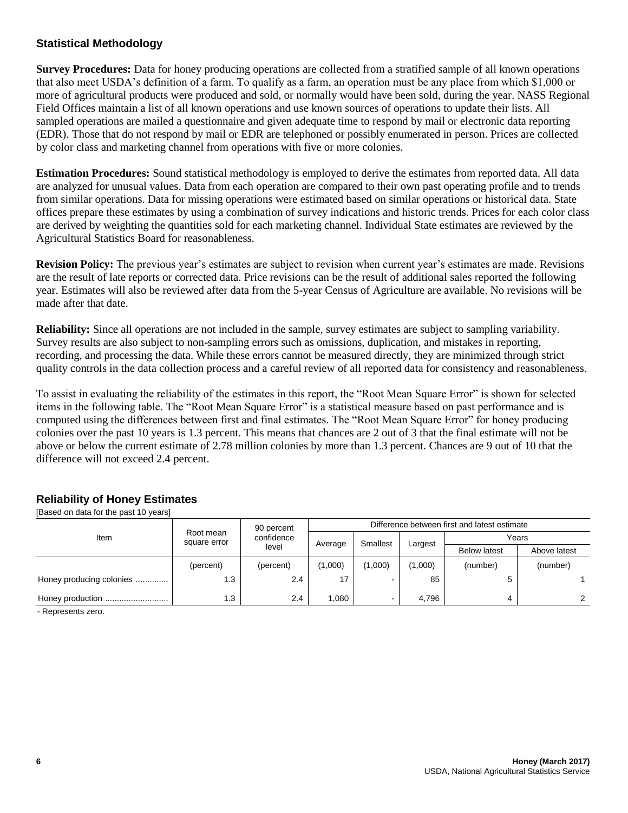## **Statistical Methodology**

**Survey Procedures:** Data for honey producing operations are collected from a stratified sample of all known operations that also meet USDA's definition of a farm. To qualify as a farm, an operation must be any place from which \$1,000 or more of agricultural products were produced and sold, or normally would have been sold, during the year. NASS Regional Field Offices maintain a list of all known operations and use known sources of operations to update their lists. All sampled operations are mailed a questionnaire and given adequate time to respond by mail or electronic data reporting (EDR). Those that do not respond by mail or EDR are telephoned or possibly enumerated in person. Prices are collected by color class and marketing channel from operations with five or more colonies.

**Estimation Procedures:** Sound statistical methodology is employed to derive the estimates from reported data. All data are analyzed for unusual values. Data from each operation are compared to their own past operating profile and to trends from similar operations. Data for missing operations were estimated based on similar operations or historical data. State offices prepare these estimates by using a combination of survey indications and historic trends. Prices for each color class are derived by weighting the quantities sold for each marketing channel. Individual State estimates are reviewed by the Agricultural Statistics Board for reasonableness.

**Revision Policy:** The previous year's estimates are subject to revision when current year's estimates are made. Revisions are the result of late reports or corrected data. Price revisions can be the result of additional sales reported the following year. Estimates will also be reviewed after data from the 5-year Census of Agriculture are available. No revisions will be made after that date.

**Reliability:** Since all operations are not included in the sample, survey estimates are subject to sampling variability. Survey results are also subject to non-sampling errors such as omissions, duplication, and mistakes in reporting, recording, and processing the data. While these errors cannot be measured directly, they are minimized through strict quality controls in the data collection process and a careful review of all reported data for consistency and reasonableness.

To assist in evaluating the reliability of the estimates in this report, the "Root Mean Square Error" is shown for selected items in the following table. The "Root Mean Square Error" is a statistical measure based on past performance and is computed using the differences between first and final estimates. The "Root Mean Square Error" for honey producing colonies over the past 10 years is 1.3 percent. This means that chances are 2 out of 3 that the final estimate will not be above or below the current estimate of 2.78 million colonies by more than 1.3 percent. Chances are 9 out of 10 that the difference will not exceed 2.4 percent.

# **Reliability of Honey Estimates**

[Based on data for the past 10 years]

|                          |                           | 90 percent | Difference between first and latest estimate |                     |         |          |          |  |  |  |  |                     |
|--------------------------|---------------------------|------------|----------------------------------------------|---------------------|---------|----------|----------|--|--|--|--|---------------------|
| Item                     | Root mean<br>square error | confidence |                                              |                     | Largest | Years    |          |  |  |  |  |                     |
|                          |                           | level      |                                              | Smallest<br>Average |         |          |          |  |  |  |  | <b>Below latest</b> |
|                          | (percent)                 | (percent)  | (1,000)                                      | (1,000)             | (1,000) | (number) | (number) |  |  |  |  |                     |
| Honey producing colonies | 1.3                       | 2.4        | 17                                           |                     | 85      | 5        |          |  |  |  |  |                     |
| Honey production         | 1.3                       | 2.4        | .080                                         |                     | 4.796   | 4        |          |  |  |  |  |                     |

- Represents zero.